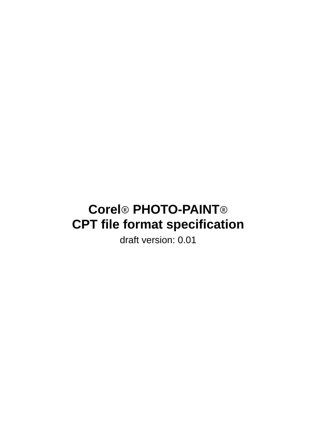# **Corel**® **PHOTO-PAINT**® **CPT file format specification**

draft version: 0.01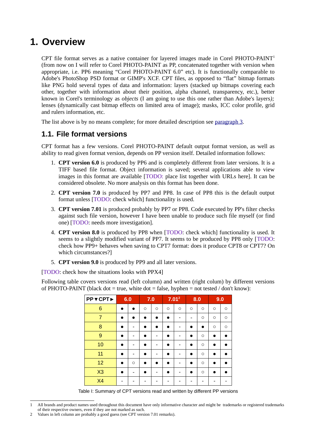## **1. Overview**

CPT file format serves as a native container for layered images made in Corel PHOTO-PAINT<sup>[1](#page-1-0)</sup> (from now on I will refer to Corel PHOTO-PAINT as PP, concatenated together with version when appropriate, i.e. PP6 meaning "Corel PHOTO-PAINT 6.0" etc). It is functionally comparable to Adobe's PhotoShop PSD format or GIMP's XCF. CPT files, as opposed to "flat" bitmap formats like PNG hold several types of data and information: layers (stacked up bitmaps covering each other, together with information about their position, alpha channel, transparency, etc.), better known in Corel's terminology as *objects* (I am going to use this one rather than Adobe's layers*);* lenses (dynamically cast bitmap effects on limited area of image); masks, ICC color profile, grid and rulers information, etc.

The list above is by no means complete; for more detailed description see [paragraph 3.](#page-2-0)

## **1.1. File format versions**

CPT format has a few versions. Corel PHOTO-PAINT default output format version, as well as ability to read given format version, depends on PP version itself. Detailed information follows:

- 1. **CPT version 6.0** is produced by PP6 and is completely different from later versions. It is a TIFF based file format. Object information is saved; several applications able to view images in this format are available [TODO: place list together with URLs here]. It can be considered obsolete. No more analysis on this format has been done.
- 2. **CPT version 7.0** is produced by PP7 and PP8. In case of PP8 this is the default output format unless [TODO: check which] functionality is used.
- 3. **CPT version 7.01** is produced probably by PP7 or PP8. Code executed by PP's filter checks against such file version, however I have been unable to produce such file myself (or find one) [TODO: needs more investigation].
- 4. **CPT version 8.0** is produced by PP8 when [TODO: check which] functionality is used. It seems to a slightly modified variant of PP7. It seems to be produced by PP8 only [TODO: check how PP9+ behaves when saving to CPT7 format: does it produce CPT8 or CPT7? On which circumstances?]
- 5. **CPT version 9.0** is produced by PP9 and all later versions.

[TODO: check how the situations looks with PPX4]

Following table covers versions read (left column) and written (right colum) by different versions of PHOTO-PAINT (black dot = true, white dot = false, hyphen = not tested  $/$  don't know):

| PP▼CPT▶        | 6.0       |         | 7.0       |         |         | $7.01^2$                 |           | 8.0       | 9.0       |         |
|----------------|-----------|---------|-----------|---------|---------|--------------------------|-----------|-----------|-----------|---------|
| 6              |           | n       | $\circ$   | $\circ$ | $\circ$ | $\circ$                  | $\circ$   | $\circ$   | $\circ$   | $\circ$ |
| $\overline{7}$ | $\bullet$ |         | ●         |         |         |                          |           | $\circ$   | $\circ$   | $\circ$ |
| 8              | $\bullet$ |         | $\bullet$ |         |         |                          | $\bullet$ | $\bullet$ | $\circ$   | $\circ$ |
| 9              |           |         |           |         |         | -                        | ●         | $\circ$   |           |         |
| 10             |           |         | n         |         |         |                          | ●         | $\circ$   |           |         |
| 11             |           |         |           |         |         |                          | ●         | $\circ$   | $\bullet$ |         |
| 12             | $\bullet$ | $\circ$ | $\bullet$ |         |         |                          | $\bullet$ | $\circ$   |           |         |
| X3             |           |         |           |         |         | $\overline{\phantom{0}}$ |           | $\circ$   |           |         |
| <b>X4</b>      |           |         |           |         |         |                          |           |           |           |         |

Table I: Summary of CPT versions read and written by different PP versions

<span id="page-1-0"></span><sup>1</sup> All brands and product names used throughout this document have only informative character and might be trademarks or registered trademarks of their respective owners, even if they are not marked as such.

<span id="page-1-1"></span><sup>2</sup> Values in left column are probably a good guess (see CPT version 7.01 remarks).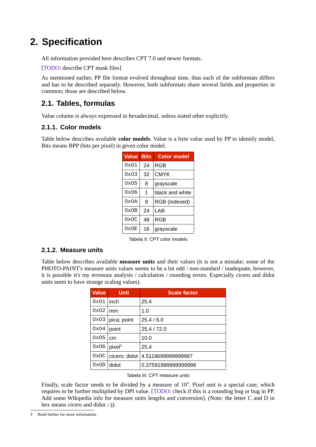## <span id="page-2-0"></span>**2. Specification**

All information provided here describes CPT 7.0 and newer formats.

[TODO: describe CPT mask files]

As mentioned earlier, PP file format evolved throughout time, thus each of the subformats differs and has to be described separatly. However, both subformats share several fields and properties in common; those are described below.

## **2.1. Tables, formulas**

Value column is always expressed in hexadecimal, unless stated other explicitly.

#### **2.1.1. Color models**

Table below describes available **color models**. Value is a byte value used by PP to identify model, Bits means BPP (bits per pixel) in given color model.

<span id="page-2-2"></span>

| Value | <b>Bits</b>  | <b>Color model</b> |
|-------|--------------|--------------------|
| 0x01  | 24           | RGB                |
| 0x03  | 32           | CMYK               |
| 0x05  | 8            | grayscale          |
| 0x06  | $\mathbf{1}$ | black and white    |
| 0x0A  | 8            | RGB (indexed)      |
| 0x0B  | 24           | L AB               |
| 0x0C  | 48           | RGB                |
| 0x0F  | 16           | grayscale          |

Tabela II: CPT color models

#### **2.1.2. Measure units**

Table below describes available **measure units** and their values (it is not a mistake; some of the PHOTO-PAINT's measure units values seems to be a bit odd / non-standard / inadequate, however, it is possible it's my erronous analysis / calculation / rounding errors. Especially cicero and didot units seem to have strange scaling values).

| <b>Value</b> | <b>Unit</b>        | <b>Scale factor</b> |
|--------------|--------------------|---------------------|
| 0x01         | inch               | 25.4                |
| 0x02         | mm                 | 1.0                 |
| 0x03         | pica; point        | 25.4/6.0            |
| 0x04         | point              | 25.4 / 72.0         |
| 0x05         | cm                 | 10.0                |
| 0x06         | pixel <sup>3</sup> | 25.4                |
| 0x0C         | cicero; didot      | 4.5118699999999997  |
| 0x0D         | didot              | 0.37591999999999998 |

Tabela III: CPT measure units

Finally, scale factor needs to be divided by a measure of  $10<sup>4</sup>$ . Pixel unit is a special case, which requires to be further multiplied by DPI value. [TODO: check if this is a rounding bug or bug in PP. Add some Wikipedia info for measure units lengths and conversion]. (Note: the letter C and D in hex means cicero and didot :-)).

<span id="page-2-1"></span><sup>3</sup> Read further for more information.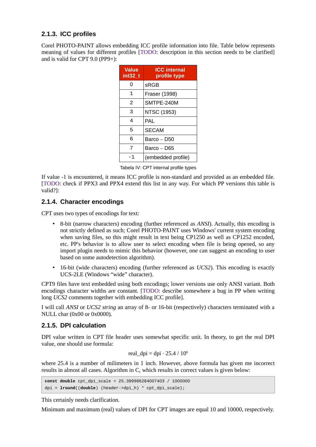#### **2.1.3. ICC profiles**

Corel PHOTO-PAINT allows embedding ICC profile information into file. Table below represents meaning of values for different profiles [TODO: description in this section needs to be clarified] and is valid for CPT 9.0 (PP9+):

| <b>Value</b><br>int32 t | <b>ICC</b> internal<br>profile type |
|-------------------------|-------------------------------------|
| ი                       | <b>SRGB</b>                         |
| 1                       | Fraser (1998)                       |
| $\mathfrak{p}$          | SMTPE-240M                          |
| 3                       | NTSC (1953)                         |
| 4                       | PAL                                 |
| 5                       | <b>SECAM</b>                        |
| 6                       | Barco - D50                         |
| 7                       | Barco - D65                         |
| - 1                     | (embedded profile)                  |

Tabela IV: CPT internal profile types

If value -1 is encountered, it means ICC profile is non-standard and provided as an embedded file. [TODO: check if PPX3 and PPX4 extend this list in any way. For which PP versions this table is valid?]:

#### **2.1.4. Character encodings**

CPT uses two types of encodings for text:

- 8-bit (narrow characters) encoding (further referenced as *ANSI*). Actually, this encoding is not strictly defined as such; Corel PHOTO-PAINT uses Windows' current system encoding when saving files, so this might result in text being CP1250 as well as CP1252 encoded, etc. PP's behavior is to allow user to select encoding when file is being opened, so any import plugin needs to mimic this behavior (however, one can suggest an encoding to user based on some autodetection algorithm).
- 16-bit (wide characters) encoding (further referenced as *UCS2*). This encoding is exactly UCS-2LE (Windows "wide" character).

CPT9 files have text embedded using both encodings; lower versions use only ANSI variant. Both encodings character widths are constant. [TODO: describe somewhere a bug in PP when writing long *UCS2* comments together with embedding ICC profile].

I will call *ANSI* or *UCS2 string* an array of 8- or 16-bit (respectively) characters terminated with a NULL char (0x00 or 0x0000).

#### <span id="page-3-0"></span>**2.1.5. DPI calculation**

DPI value written in CPT file header uses somewhat specific unit. In theory, to get the real DPI value, one should use formula:

real\_dpi = dpi · 25.4 / 
$$
10^6
$$

where 25.4 is a number of milimeters in 1 inch. However, above formula has given me incorrect results in almost all cases. Algorithm in C, which results in correct values is given below:

```
const double cpt_dpi_scale = 25.399986284007403 / 1000000
dpi = lround((double) (header->dpi_h) * cpt_dpi_scale);
```
This certainly needs clarification.

Minimum and maximum (real) values of DPI for CPT images are equal 10 and 10000, respectively.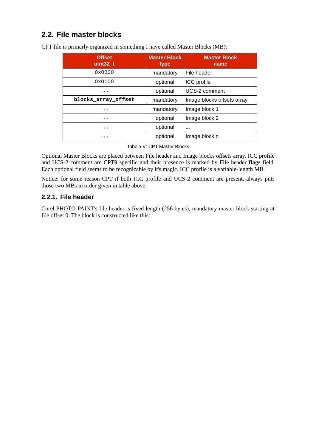## **2.2. File master blocks**

| <b>Offset</b><br>uint32 t | <b>Master Block</b><br>type | <b>Master Block</b><br>name |
|---------------------------|-----------------------------|-----------------------------|
| 0x0000                    | mandatory                   | File header                 |
| 0x0100                    | optional                    | <b>ICC</b> profile          |
| .                         | optional                    | UCS-2 comment               |
| blocks_array_offset       | mandatory                   | Image blocks offsets array  |
| .                         | mandatory                   | Image block 1               |
| .                         | optional                    | Image block 2               |
| .                         | optional                    | $\cdots$                    |
| .                         | optional                    | Image block n               |

CPT file is primarly organized in something I have called Master Blocks (MB):

Tabela V: CPT Master Blocks

Optional Master Blocks are placed between File header and Image blocks offsets array. ICC profile and UCS-2 comment are CPT9 specific and their presence is marked by File header **flags** field. Each optional field seems to be recognizable by it's magic. ICC profile is a variable-length MB.

Notice: for some reason CPT if both ICC profile and UCS-2 comment are present, always puts those two MBs in order given in table above.

#### **2.2.1. File header**

Corel PHOTO-PAINT's file header is fixed length (256 bytes), mandatory master block starting at file offset 0. The block is constructed like this: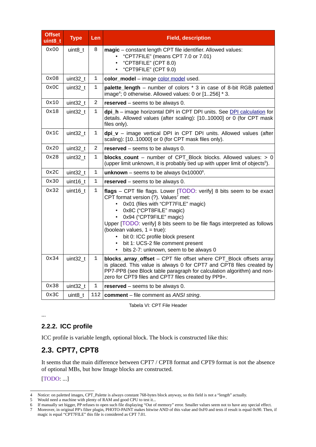| <b>Offset</b><br>uint <sub>8_t</sub> | <b>Type</b>            | Len            | <b>Field, description</b>                                                                                                                                                                                                                                                                                                                                                                                                                                                                                                                     |
|--------------------------------------|------------------------|----------------|-----------------------------------------------------------------------------------------------------------------------------------------------------------------------------------------------------------------------------------------------------------------------------------------------------------------------------------------------------------------------------------------------------------------------------------------------------------------------------------------------------------------------------------------------|
| 0x00                                 | uint8 t                | 8              | magic - constant length CPT file identifier. Allowed values:<br>"CPT7FILE" (means CPT 7.0 or 7.01)<br>"CPT8FILE" (CPT 8.0)<br>"CPT9FILE" (CPT 9.0)                                                                                                                                                                                                                                                                                                                                                                                            |
| 0x08                                 | uint32 t               | 1              | color_model - image color model used.                                                                                                                                                                                                                                                                                                                                                                                                                                                                                                         |
| 0x0C                                 | uint32 t               | 1              | palette_length - number of colors * 3 in case of 8-bit RGB paletted<br>image <sup>4</sup> ; 0 otherwise. Allowed values: 0 or $[1256]$ * 3.                                                                                                                                                                                                                                                                                                                                                                                                   |
| 0x10                                 | uint32 t               | $\overline{2}$ | reserved $-$ seems to be always 0.                                                                                                                                                                                                                                                                                                                                                                                                                                                                                                            |
| 0x18                                 | uint32 t               | 1              | dpi_h - image horizontal DPI in CPT DPI units. See DPI calculation for<br>details. Allowed values (after scaling): [1010000] or 0 (for CPT mask<br>files only).                                                                                                                                                                                                                                                                                                                                                                               |
| 0x1C                                 | $uint32_t$             | 1              | $\text{dpi}_v - \text{image}$ vertical DPI in CPT DPI units. Allowed values (after<br>scaling): [1010000] or 0 (for CPT mask files only).                                                                                                                                                                                                                                                                                                                                                                                                     |
| 0x20                                 | uint32 <sub>t</sub>    | $\overline{2}$ | reserved - seems to be always 0.                                                                                                                                                                                                                                                                                                                                                                                                                                                                                                              |
| 0x28                                 | uint32 t               | 1              | blocks_count - number of CPT Block blocks. Allowed values: > 0<br>(upper limit unknown, it is probably tied up with upper limit of objects <sup>5</sup> ).                                                                                                                                                                                                                                                                                                                                                                                    |
| 0x2C                                 | uint32 t               | 1              | unknown - seems to be always $0x10000^6$ .                                                                                                                                                                                                                                                                                                                                                                                                                                                                                                    |
| 0x30                                 | $uint16_t$             | $\mathbf{1}$   | reserved - seems to be always 0.                                                                                                                                                                                                                                                                                                                                                                                                                                                                                                              |
| 0x32<br>0x34                         | $uint16_t$<br>uint32 t | 1<br>1         | flags - CPT file flags. Lower [TODO: verify] 8 bits seem to be exact<br>CPT format version (?). Values <sup>7</sup> met:<br>0x01 (files with "CPT7FILE" magic)<br>• 0x8C ("CPT8FILE" magic)<br>• 0x94 ("CPT9FILE" magic)<br>Upper [TODO: verify] 8 bits seem to be file flags interpreted as follows<br>(boolean values, $1 = true$ ):<br>bit 0: ICC profile block present<br>$\bullet$<br>bit 1: UCS-2 file comment present<br>bits 2-7: unknown, seem to be always 0<br>blocks_array_offset - CPT file offset where CPT Block offsets array |
|                                      |                        |                | is placed. This value is always 0 for CPT7 and CPT8 files created by<br>PP7-PP8 (see Block table paragraph for calculation algorithm) and non-<br>zero for CPT9 files and CPT7 files created by PP9+.                                                                                                                                                                                                                                                                                                                                         |
| 0x38                                 | uint32 t               | 1              | reserved – seems to be always 0.                                                                                                                                                                                                                                                                                                                                                                                                                                                                                                              |
| 0x3C                                 | uint8 t                |                | 112   comment $-$ file comment as ANSI string.                                                                                                                                                                                                                                                                                                                                                                                                                                                                                                |

Tabela VI: CPT File Header

#### **2.2.2. ICC profile**

ICC profile is variable length, optional block. The block is constructed like this:

## **2.3. CPT7, CPT8**

It seems that the main difference between CPT7 / CPT8 format and CPT9 format is not the absence of optional MBs, but how Image blocks are constructed.

[TODO: ...]

...

<span id="page-5-0"></span><sup>4</sup> Notice: on paletted images, CPT\_Palette is always constant 768-bytes block anyway, so this field is not a "length" actually.

<span id="page-5-1"></span><sup>5</sup> Would need a machine with plenty of RAM and good CPU to test it...

<span id="page-5-2"></span><sup>6</sup> If manually set bigger, PP refuses to open such file displaying "Out of memory" error. Smaller values seem not to have any special effect.

<span id="page-5-3"></span><sup>7</sup> Moreover, in original PP's filter plugin, PHOTO-PAINT makes bitwise AND of this value and 0xF0 and tests if result is equal 0x90. Then, if magic is equal "CPT7FILE" this file is considered as CPT 7.01.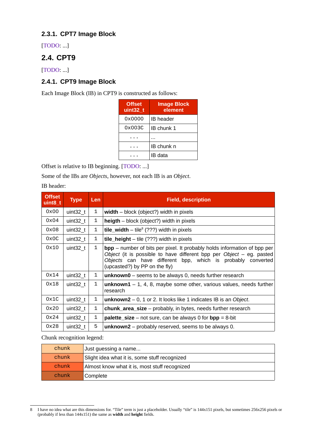#### **2.3.1. CPT7 Image Block**

[TODO: ...]

## **2.4. CPT9**

[TODO: ...]

### **2.4.1. CPT9 Image Block**

Each Image Block (IB) in CPT9 is constructed as follows:

| <b>Offset</b><br>uint32 t | <b>Image Block</b><br>element |
|---------------------------|-------------------------------|
| 0x0000                    | <b>IB</b> header              |
| 0x003C                    | IB chunk 1                    |
|                           |                               |
|                           | IB chunk n                    |
|                           | IB data                       |

Offset is relative to IB beginning. [TODO: ...]

Some of the IBs are *Objects*, however, not each IB is an *Object*.

IB header:

| <b>Offset</b><br>$uint8_t$ | <b>Type</b> | Len          | <b>Field, description</b>                                                                                                                                                                                                                                   |
|----------------------------|-------------|--------------|-------------------------------------------------------------------------------------------------------------------------------------------------------------------------------------------------------------------------------------------------------------|
| 0x00                       | uint $32$ t | 1            | width $-$ block (object?) width in pixels                                                                                                                                                                                                                   |
| 0x04                       | uint $32$ t | 1            | $height - block (object?)$ width in pixels                                                                                                                                                                                                                  |
| 0x08                       | uint32 t    | 1            | <b>tile_width</b> – tile <sup>8</sup> (???) width in pixels                                                                                                                                                                                                 |
| 0x0C                       | uint32 t    | 1            | <b>tile_height</b> $-$ tile (???) width in pixels                                                                                                                                                                                                           |
| 0x10                       | uint32 t    | 1            | $\mathbf{bpp}$ – number of bits per pixel. It probably holds information of bpp per<br>Object (it is possible to have different bpp per Object - eg. pasted<br>Objects can have different bpp, which is probably converted<br>(upcasted?) by PP on the fly) |
| 0x14                       | uint32 t    | 1            | $unknown0 - seems to be always 0, needs further research$                                                                                                                                                                                                   |
| 0x18                       | uint $32$ t | $\mathbf{1}$ | <b>unknown1</b> – 1, 4, 8, maybe some other, various values, needs further<br>research                                                                                                                                                                      |
| 0x1C                       | uint $32$ t | 1            | unknown2 $-$ 0, 1 or 2. It looks like 1 indicates IB is an Object.                                                                                                                                                                                          |
| 0x20                       | uint $32$ t | 1            | <b>chunk_area_size</b> – probably, in bytes, needs further research                                                                                                                                                                                         |
| 0x24                       | uint $32$ t | 1            | <b>palette_size</b> – not sure, can be always 0 for $bpp = 8$ -bit                                                                                                                                                                                          |
| 0x28                       | uint32 t    | 5            | $unknown2$ – probably reserved, seems to be always 0.                                                                                                                                                                                                       |

Chunk recognition legend:

| chunk  | Just guessing a name                          |
|--------|-----------------------------------------------|
| chunk  | Slight idea what it is, some stuff recognized |
| chunk: | Almost know what it is, most stuff recognized |
| chunk  | Complete                                      |

<span id="page-6-0"></span><sup>8</sup> I have no idea what are this dimensions for. "Tile" term is just a placeholder. Usually "tile" is 144x151 pixels, but sometimes 256x256 pixels or (probably if less than 144x151) the same as **width** and **height** fields.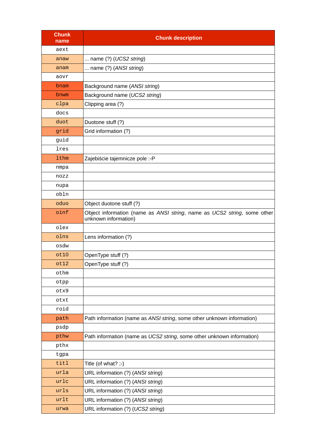| <b>Chunk</b><br>name | <b>Chunk description</b>                                                                         |
|----------------------|--------------------------------------------------------------------------------------------------|
| aext                 |                                                                                                  |
| anaw                 | name $(?)$ (UCS2 string)                                                                         |
| anam                 | name $(?)$ (ANSI string)                                                                         |
| aovr                 |                                                                                                  |
| bnam                 | Background name (ANSI string)                                                                    |
| bnwm                 | Background name (UCS2 string)                                                                    |
| clpa                 | Clipping area (?)                                                                                |
| docs                 |                                                                                                  |
| duot                 | Duotone stuff (?)                                                                                |
| grid                 | Grid information (?)                                                                             |
| guid                 |                                                                                                  |
| lres                 |                                                                                                  |
| <b>lthm</b>          | Zajebiście tajemnicze pole :- P                                                                  |
| nmpa                 |                                                                                                  |
| nozz                 |                                                                                                  |
| nupa                 |                                                                                                  |
| obln                 |                                                                                                  |
| oduo                 | Object duotone stuff (?)                                                                         |
| oinf                 | Object information (name as ANSI string, name as UCS2 string, some other<br>unknown information) |
| olex                 |                                                                                                  |
| olns                 | Lens information (?)                                                                             |
| osdw                 |                                                                                                  |
| ot10                 | OpenType stuff (?)                                                                               |
| ot12                 | OpenType stuff (?)                                                                               |
| othm                 |                                                                                                  |
| otpp                 |                                                                                                  |
| otx9                 |                                                                                                  |
| otxt                 |                                                                                                  |
| roid                 |                                                                                                  |
| path                 | Path information (name as ANSI string, some other unknown information)                           |
| psdp                 |                                                                                                  |
| pthw                 | Path information (name as UCS2 string, some other unknown information)                           |
| pthx                 |                                                                                                  |
| tgpa                 |                                                                                                  |
| titl                 | Title (of what? ;-)                                                                              |
| urla                 | URL information (?) (ANSI string)                                                                |
| urlc                 | URL information (?) (ANSI string)                                                                |
| urls                 | URL information (?) (ANSI string)                                                                |
| urlt                 | URL information (?) (ANSI string)                                                                |
| urwa                 | URL information (?) (UCS2 string)                                                                |